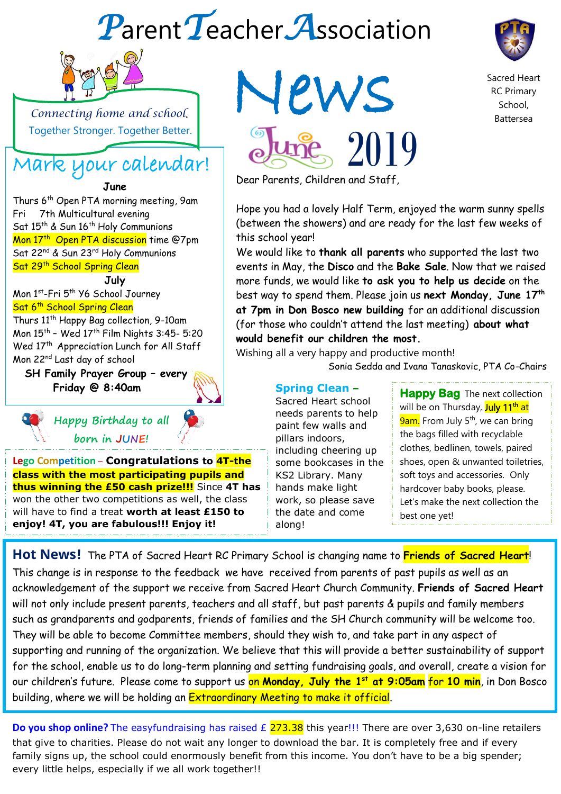# *P*arent*T*eacher*A*ssociation



 $\overline{a}$ 

 *Connecting home and school*. Together Stronger. Together Better.

## Mark your calendar!

### **June**

Thurs 6<sup>th</sup> Open PTA morning meeting, 9am Fri 7th Multicultural evening Sat 15<sup>th</sup> & Sun 16<sup>th</sup> Holy Communions Sur 15 To Sun 10 They communions<br>Mon 17<sup>th</sup> Open PTA discussion time @7pm Sat 22<sup>nd</sup> & Sun 23<sup>rd</sup> Holy Communions Sat 29<sup>th</sup> School Spring Clean

### **July**

Mon 1st -Fri 5th Y6 School Journey Sat 6<sup>th</sup> School Spring Clean

Thurs 11th Happy Bag collection, 9-10am Mon 15th – Wed 17th Film Nights 3:45- 5:20 Wed 17<sup>th</sup> Appreciation Lunch for All Staff Mon 22nd Last day of school

 **SH Family Prayer Group – every Friday @ 8:40am**



### **Happy Birthday to all born in JUNE!**

**Lego Competition** – **Congratulations to 4T-the class with the most participating pupils and thus winning the £50 cash prize!!!** Since **4T has**  won the other two competitions as well, the class will have to find a treat **worth at least £150 to enjoy! 4T, you are fabulous!!! Enjoy it!**





Sacred Heart RC Primary School, Battersea

Dear Parents, Children and Staff,

Hope you had a lovely Half Term, enjoyed the warm sunny spells (between the showers) and are ready for the last few weeks of this school year!

We would like to **thank all parents** who supported the last two events in May, the **Disco** and the **Bake Sale**. Now that we raised more funds, we would like **to ask you to help us decide** on the best way to spend them. Please join us **next Monday, June 17th at 7pm in Don Bosco new building** for an additional discussion (for those who couldn't attend the last meeting) **about what would benefit our children the most.**

Wishing all a very happy and productive month!

Sonia Sedda and Ivana Tanaskovic, PTA Co-Chairs

**Spring Clean –** Sacred Heart school needs parents to help paint few walls and pillars indoors, including cheering up some bookcases in the KS2 Library. Many hands make light work, so please save the date and come along!

**Happy Bag** The next collection will be on Thursday, July 11<sup>th</sup> at **9am.** From July 5<sup>th</sup>, we can bring the bags filled with recyclable clothes, bedlinen, towels, paired shoes, open & unwanted toiletries, soft toys and accessories. Only hardcover baby books, please. Let's make the next collection the best one yet!

**Hot News!** The PTA of Sacred Heart RC Primary School is changing name to **Friends of Sacred Heart**! This change is in response to the feedback we have received from parents of past pupils as well as an acknowledgement of the support we receive from Sacred Heart Church Community. **Friends of Sacred Heart** will not only include present parents, teachers and all staff, but past parents & pupils and family members such as grandparents and godparents, friends of families and the SH Church community will be welcome too. They will be able to become Committee members, should they wish to, and take part in any aspect of supporting and running of the organization. We believe that this will provide a better sustainability of support for the school, enable us to do long-term planning and setting fundraising goals, and overall, create a vision for our children's future. Please come to support us on **Monday, July the 1st at 9:05am** for **10 min**, in Don Bosco building, where we will be holding an Extraordinary Meeting to make it official.

**Do you shop online?** The easyfundraising has raised £ 273.38 this year!!! There are over 3,630 on-line retailers that give to charities. Please do not wait any longer to download the bar. It is completely free and if every family signs up, the school could enormously benefit from this income. You don't have to be a big spender; every little helps, especially if we all work together!!